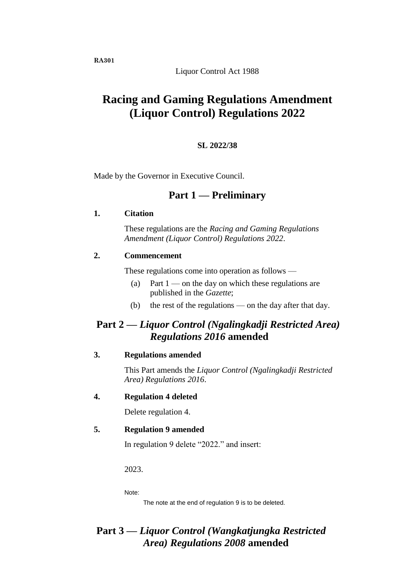Liquor Control Act 1988

# **Racing and Gaming Regulations Amendment (Liquor Control) Regulations 2022**

### **SL 2022/38**

Made by the Governor in Executive Council.

## **Part 1 — Preliminary**

#### **1. Citation**

These regulations are the *Racing and Gaming Regulations Amendment (Liquor Control) Regulations 2022*.

## **2. Commencement**

These regulations come into operation as follows —

- (a) Part  $1$  on the day on which these regulations are published in the *Gazette*;
- (b) the rest of the regulations on the day after that day.

## **Part 2 —** *Liquor Control (Ngalingkadji Restricted Area) Regulations 2016* **amended**

#### **3. Regulations amended**

This Part amends the *Liquor Control (Ngalingkadji Restricted Area) Regulations 2016*.

#### **4. Regulation 4 deleted**

Delete regulation 4.

### **5. Regulation 9 amended**

In regulation 9 delete "2022." and insert:

2023.

Note:

The note at the end of regulation 9 is to be deleted.

## **Part 3 —** *Liquor Control (Wangkatjungka Restricted Area) Regulations 2008* **amended**

**RA301**